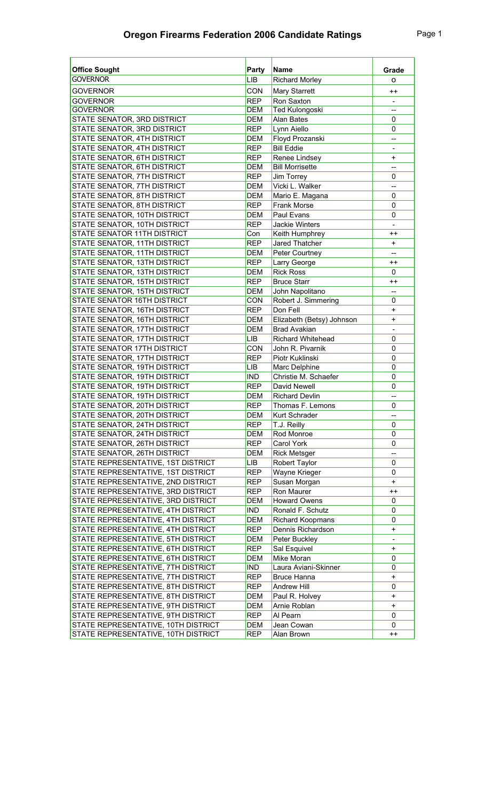| <b>Office Sought</b>                | Party      | <b>Name</b>               | Grade                    |
|-------------------------------------|------------|---------------------------|--------------------------|
| <b>GOVERNOR</b>                     | <b>LIB</b> | <b>Richard Morley</b>     | o                        |
| <b>GOVERNOR</b>                     | <b>CON</b> | Mary Starrett             | $^{\mathrm{+}}$          |
| <b>GOVERNOR</b>                     | <b>REP</b> | Ron Saxton                | $\overline{\phantom{a}}$ |
| <b>GOVERNOR</b>                     | <b>DEM</b> | <b>Ted Kulongoski</b>     | --                       |
| STATE SENATOR, 3RD DISTRICT         | <b>DEM</b> | <b>Alan Bates</b>         | 0                        |
| STATE SENATOR, 3RD DISTRICT         | <b>REP</b> | Lynn Aiello               | 0                        |
| STATE SENATOR, 4TH DISTRICT         | <b>DEM</b> | Floyd Prozanski           | $\qquad \qquad -$        |
| STATE SENATOR, 4TH DISTRICT         | <b>REP</b> | <b>Bill Eddie</b>         | $\overline{\phantom{a}}$ |
| STATE SENATOR, 6TH DISTRICT         | <b>REP</b> | Renee Lindsey             | $\ddot{}$                |
| STATE SENATOR, 6TH DISTRICT         | <b>DEM</b> | <b>Bill Morrisette</b>    | $-$                      |
| STATE SENATOR, 7TH DISTRICT         | <b>REP</b> | Jim Torrey                | 0                        |
| STATE SENATOR, 7TH DISTRICT         | <b>DEM</b> | Vicki L. Walker           | $-$                      |
| STATE SENATOR, 8TH DISTRICT         | <b>DEM</b> | Mario E. Magana           | 0                        |
| STATE SENATOR, 8TH DISTRICT         | <b>REP</b> | <b>Frank Morse</b>        | 0                        |
| STATE SENATOR, 10TH DISTRICT        | <b>DEM</b> | Paul Evans                | 0                        |
| STATE SENATOR, 10TH DISTRICT        | <b>REP</b> | Jackie Winters            | $\overline{a}$           |
| STATE SENATOR 11TH DISTRICT         | Con        | Keith Humphrey            | $^{++}$                  |
| STATE SENATOR, 11TH DISTRICT        | <b>REP</b> | Jared Thatcher            | $\ddot{}$                |
| STATE SENATOR, 11TH DISTRICT        | <b>DEM</b> | Peter Courtney            | $-$                      |
| STATE SENATOR, 13TH DISTRICT        | <b>REP</b> | Larry George              | $^{++}$                  |
| STATE SENATOR, 13TH DISTRICT        | <b>DEM</b> | <b>Rick Ross</b>          | 0                        |
| STATE SENATOR, 15TH DISTRICT        | <b>REP</b> | <b>Bruce Starr</b>        | $^{++}$                  |
| STATE SENATOR, 15TH DISTRICT        | <b>DEM</b> | John Napolitano           | $\overline{a}$           |
| STATE SENATOR 16TH DISTRICT         | <b>CON</b> | Robert J. Simmering       | 0                        |
| STATE SENATOR, 16TH DISTRICT        | <b>REP</b> | Don Fell                  | $\ddot{}$                |
| STATE SENATOR, 16TH DISTRICT        | <b>DEM</b> | Elizabeth (Betsy) Johnson | $\ddot{}$                |
| STATE SENATOR, 17TH DISTRICT        | <b>DEM</b> | <b>Brad Avakian</b>       | $\overline{\phantom{a}}$ |
| STATE SENATOR, 17TH DISTRICT        | <b>LIB</b> | <b>Richard Whitehead</b>  | 0                        |
| STATE SENATOR 17TH DISTRICT         | <b>CON</b> | John R. Pivarnik          | 0                        |
| STATE SENATOR, 17TH DISTRICT        | <b>REP</b> | Piotr Kuklinski           | 0                        |
| STATE SENATOR, 19TH DISTRICT        | LIB        | Marc Delphine             | 0                        |
| STATE SENATOR, 19TH DISTRICT        | <b>IND</b> | Christie M. Schaefer      | 0                        |
| STATE SENATOR, 19TH DISTRICT        | <b>REP</b> | David Newell              | 0                        |
| STATE SENATOR, 19TH DISTRICT        | <b>DEM</b> | <b>Richard Devlin</b>     | $\overline{a}$           |
| STATE SENATOR, 20TH DISTRICT        | <b>REP</b> | Thomas F. Lemons          | 0                        |
| STATE SENATOR, 20TH DISTRICT        | <b>DEM</b> | Kurt Schrader             | --                       |
| STATE SENATOR, 24TH DISTRICT        | <b>REP</b> | T.J. Reilly               | 0                        |
| STATE SENATOR, 24TH DISTRICT        | DEM        | Rod Monroe                | 0                        |
| STATE SENATOR, 26TH DISTRICT        | <b>REP</b> | Carol York                | 0                        |
| STATE SENATOR, 26TH DISTRICT        | DEM        | <b>Rick Metsger</b>       | --                       |
| STATE REPRESENTATIVE, 1ST DISTRICT  | LIB        | Robert Taylor             | 0                        |
| STATE REPRESENTATIVE, 1ST DISTRICT  | <b>REP</b> | Wayne Krieger             | 0                        |
| STATE REPRESENTATIVE, 2ND DISTRICT  | <b>REP</b> | Susan Morgan              | $\ddot{}$                |
| STATE REPRESENTATIVE, 3RD DISTRICT  | <b>REP</b> | Ron Maurer                | $^{++}$                  |
| STATE REPRESENTATIVE, 3RD DISTRICT  | DEM        | <b>Howard Owens</b>       | 0                        |
| STATE REPRESENTATIVE, 4TH DISTRICT  | <b>IND</b> | Ronald F. Schutz          | 0                        |
| STATE REPRESENTATIVE, 4TH DISTRICT  | DEM        | Richard Koopmans          | 0                        |
| STATE REPRESENTATIVE, 4TH DISTRICT  | <b>REP</b> | Dennis Richardson         | $\ddot{}$                |
| STATE REPRESENTATIVE, 5TH DISTRICT  | DEM        | Peter Buckley             | $\overline{\phantom{a}}$ |
| STATE REPRESENTATIVE, 6TH DISTRICT  | <b>REP</b> | Sal Esquivel              | $\ddot{}$                |
| STATE REPRESENTATIVE, 6TH DISTRICT  | DEM        | Mike Moran                | 0                        |
| STATE REPRESENTATIVE, 7TH DISTRICT  | IND        | Laura Aviani-Skinner      | 0                        |
| STATE REPRESENTATIVE, 7TH DISTRICT  | <b>REP</b> | <b>Bruce Hanna</b>        | $\ddot{}$                |
| STATE REPRESENTATIVE, 8TH DISTRICT  | <b>REP</b> | Andrew Hill               | 0                        |
| STATE REPRESENTATIVE, 8TH DISTRICT  | DEM        | Paul R. Holvey            | $\ddot{}$                |
| STATE REPRESENTATIVE, 9TH DISTRICT  | DEM        | Arnie Roblan              | $\ddot{}$                |
| STATE REPRESENTATIVE, 9TH DISTRICT  | <b>REP</b> | Al Pearn                  | 0                        |
| STATE REPRESENTATIVE, 10TH DISTRICT | DEM        | Jean Cowan                | 0                        |
| STATE REPRESENTATIVE, 10TH DISTRICT | <b>REP</b> | Alan Brown                | $^{\mathrm{+}}$          |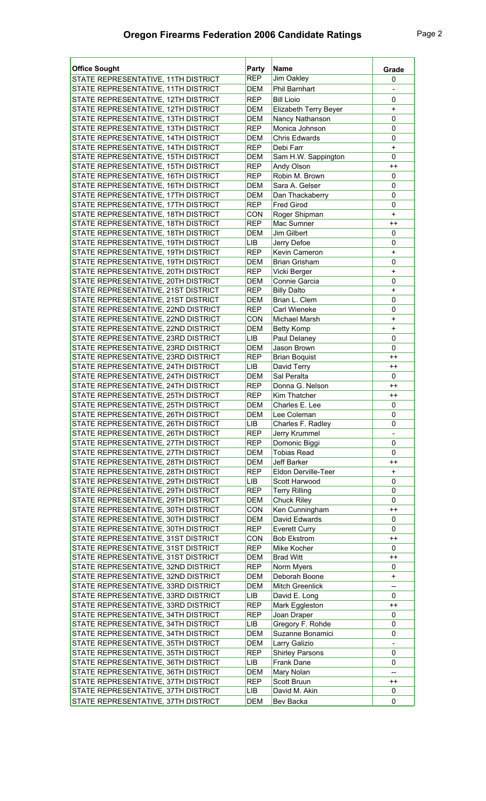| <b>Office Sought</b>                                                       | Party                    | <b>Name</b>                       | Grade                    |
|----------------------------------------------------------------------------|--------------------------|-----------------------------------|--------------------------|
| STATE REPRESENTATIVE, 11TH DISTRICT                                        | <b>REP</b>               | Jim Oakley                        | 0                        |
| STATE REPRESENTATIVE, 11TH DISTRICT                                        | <b>DEM</b>               | <b>Phil Barnhart</b>              |                          |
| STATE REPRESENTATIVE, 12TH DISTRICT                                        | <b>REP</b>               | <b>Bill Lioio</b>                 | 0                        |
| STATE REPRESENTATIVE, 12TH DISTRICT                                        | <b>DEM</b>               | Elizabeth Terry Beyer             | $\ddot{}$                |
| STATE REPRESENTATIVE, 13TH DISTRICT                                        | <b>DEM</b>               | Nancy Nathanson                   | $\mathbf 0$              |
| STATE REPRESENTATIVE, 13TH DISTRICT                                        | <b>REP</b>               | Monica Johnson                    | $\mathbf 0$              |
| STATE REPRESENTATIVE, 14TH DISTRICT                                        | <b>DEM</b>               | Chris Edwards                     | 0                        |
| STATE REPRESENTATIVE, 14TH DISTRICT                                        | <b>REP</b>               | Debi Farr                         | $\ddot{}$                |
| STATE REPRESENTATIVE, 15TH DISTRICT                                        | <b>DEM</b>               | Sam H.W. Sappington               | $\mathbf 0$              |
| STATE REPRESENTATIVE, 15TH DISTRICT                                        | <b>REP</b>               | Andy Olson                        | $^{++}$                  |
| STATE REPRESENTATIVE, 16TH DISTRICT                                        | <b>REP</b>               | Robin M. Brown                    | 0                        |
| STATE REPRESENTATIVE, 16TH DISTRICT                                        | <b>DEM</b>               | Sara A. Gelser                    | 0                        |
| STATE REPRESENTATIVE, 17TH DISTRICT                                        | <b>DEM</b>               | Dan Thackaberry                   | 0                        |
| STATE REPRESENTATIVE, 17TH DISTRICT                                        | <b>REP</b>               | <b>Fred Girod</b>                 | 0                        |
| STATE REPRESENTATIVE, 18TH DISTRICT                                        | <b>CON</b>               | Roger Shipman                     | $\ddot{}$                |
| STATE REPRESENTATIVE, 18TH DISTRICT                                        | <b>REP</b>               | Mac Sumner                        | $^{++}$                  |
| STATE REPRESENTATIVE, 18TH DISTRICT                                        | <b>DEM</b>               | Jim Gilbert                       | 0                        |
| STATE REPRESENTATIVE, 19TH DISTRICT                                        | LIB                      | Jerry Defoe                       | 0                        |
| STATE REPRESENTATIVE, 19TH DISTRICT                                        | <b>REP</b>               | Kevin Cameron                     | $\ddot{}$                |
| STATE REPRESENTATIVE, 19TH DISTRICT                                        | <b>DEM</b>               | <b>Brian Grisham</b>              | 0                        |
| STATE REPRESENTATIVE, 20TH DISTRICT                                        | <b>REP</b>               | Vicki Berger                      | $\ddot{}$                |
| STATE REPRESENTATIVE, 20TH DISTRICT                                        | <b>DEM</b>               | Connie Garcia                     | 0                        |
| STATE REPRESENTATIVE, 21ST DISTRICT                                        | <b>REP</b>               | <b>Billy Dalto</b>                | $\ddot{}$                |
| STATE REPRESENTATIVE, 21ST DISTRICT                                        | <b>DEM</b>               | Brian L. Clem                     | 0                        |
| STATE REPRESENTATIVE, 22ND DISTRICT                                        | <b>REP</b>               | Carl Wieneke                      | 0                        |
| STATE REPRESENTATIVE, 22ND DISTRICT                                        | <b>CON</b>               | Michael Marsh                     | $\ddot{}$                |
| STATE REPRESENTATIVE, 22ND DISTRICT                                        | <b>DEM</b>               | <b>Betty Komp</b>                 | $\ddot{}$                |
| STATE REPRESENTATIVE, 23RD DISTRICT                                        | LIB                      | Paul Delaney                      | $\mathbf 0$              |
| STATE REPRESENTATIVE, 23RD DISTRICT                                        | <b>DEM</b>               | Jason Brown                       | $\mathbf 0$              |
| STATE REPRESENTATIVE, 23RD DISTRICT                                        | <b>REP</b>               | <b>Brian Boquist</b>              | $^{++}$                  |
| STATE REPRESENTATIVE, 24TH DISTRICT                                        | LIB                      | David Terry                       | $^{++}$                  |
| STATE REPRESENTATIVE, 24TH DISTRICT                                        | <b>DEM</b>               | Sal Peralta                       | 0                        |
| STATE REPRESENTATIVE, 24TH DISTRICT                                        | <b>REP</b>               | Donna G. Nelson                   | $^{++}$                  |
| STATE REPRESENTATIVE, 25TH DISTRICT                                        | <b>REP</b>               | Kim Thatcher                      | $^{++}$                  |
| STATE REPRESENTATIVE, 25TH DISTRICT                                        | <b>DEM</b>               | Charles E. Lee                    | 0                        |
| STATE REPRESENTATIVE, 26TH DISTRICT                                        | DEM                      | Lee Coleman                       | $\pmb{0}$                |
| STATE REPRESENTATIVE, 26TH DISTRICT                                        | LIB                      | Charles F. Radley                 | 0                        |
| STATE REPRESENTATIVE, 26TH DISTRICT                                        | <b>REP</b>               | Jerry Krummel                     |                          |
| STATE REPRESENTATIVE, 27TH DISTRICT                                        | <b>REP</b>               | Domonic Biggi                     | $\mathbf 0$              |
| STATE REPRESENTATIVE, 27TH DISTRICT                                        | DEM                      | <b>Tobias Read</b>                | 0                        |
| STATE REPRESENTATIVE, 28TH DISTRICT                                        | <b>DEM</b>               | Jeff Barker                       | $^{++}$                  |
| STATE REPRESENTATIVE, 28TH DISTRICT                                        | <b>REP</b>               | Eldon Derville-Teer               | $\ddot{}$                |
| STATE REPRESENTATIVE, 29TH DISTRICT                                        | LIB                      | Scott Harwood                     | 0                        |
| STATE REPRESENTATIVE, 29TH DISTRICT                                        | <b>REP</b>               | <b>Terry Rilling</b>              | 0                        |
| STATE REPRESENTATIVE, 29TH DISTRICT                                        | DEM                      | Chuck Riley                       | 0                        |
| STATE REPRESENTATIVE, 30TH DISTRICT                                        | <b>CON</b>               | Ken Cunningham                    | $^{++}$                  |
| STATE REPRESENTATIVE, 30TH DISTRICT                                        | DEM                      | David Edwards                     | 0                        |
| STATE REPRESENTATIVE, 30TH DISTRICT                                        | <b>REP</b>               | <b>Everett Curry</b>              | 0                        |
| STATE REPRESENTATIVE, 31ST DISTRICT<br>STATE REPRESENTATIVE, 31ST DISTRICT | <b>CON</b><br><b>REP</b> | <b>Bob Ekstrom</b><br>Mike Kocher | $^{++}$<br>0             |
| STATE REPRESENTATIVE, 31ST DISTRICT                                        | DEM                      | <b>Brad Witt</b>                  | $^{++}$                  |
| STATE REPRESENTATIVE, 32ND DISTRICT                                        | <b>REP</b>               | Norm Myers                        | 0                        |
| STATE REPRESENTATIVE, 32ND DISTRICT                                        | DEM                      | Deborah Boone                     | $\ddot{}$                |
| STATE REPRESENTATIVE, 33RD DISTRICT                                        | DEM                      | Mitch Greenlick                   | --                       |
| STATE REPRESENTATIVE, 33RD DISTRICT                                        | LIB                      | David E. Long                     | 0                        |
| STATE REPRESENTATIVE, 33RD DISTRICT                                        | <b>REP</b>               | Mark Eggleston                    | $^{++}$                  |
| STATE REPRESENTATIVE, 34TH DISTRICT                                        | <b>REP</b>               | Joan Draper                       | 0                        |
| STATE REPRESENTATIVE, 34TH DISTRICT                                        | LIB                      | Gregory F. Rohde                  | 0                        |
| STATE REPRESENTATIVE, 34TH DISTRICT                                        | <b>DEM</b>               | Suzanne Bonamici                  | 0                        |
| STATE REPRESENTATIVE, 35TH DISTRICT                                        | DEM                      | Larry Galizio                     | $\overline{\phantom{a}}$ |
| STATE REPRESENTATIVE, 35TH DISTRICT                                        | <b>REP</b>               | <b>Shirley Parsons</b>            | 0                        |
| STATE REPRESENTATIVE, 36TH DISTRICT                                        | LIB                      | Frank Dane                        | 0                        |
| STATE REPRESENTATIVE, 36TH DISTRICT                                        | DEM                      | Mary Nolan                        | $\qquad \qquad -$        |
| STATE REPRESENTATIVE, 37TH DISTRICT                                        | <b>REP</b>               | Scott Bruun                       | $^{++}$                  |
| STATE REPRESENTATIVE, 37TH DISTRICT                                        | LIB                      | David M. Akin                     | 0                        |
| STATE REPRESENTATIVE, 37TH DISTRICT                                        | <b>DEM</b>               | Bev Backa                         | 0                        |